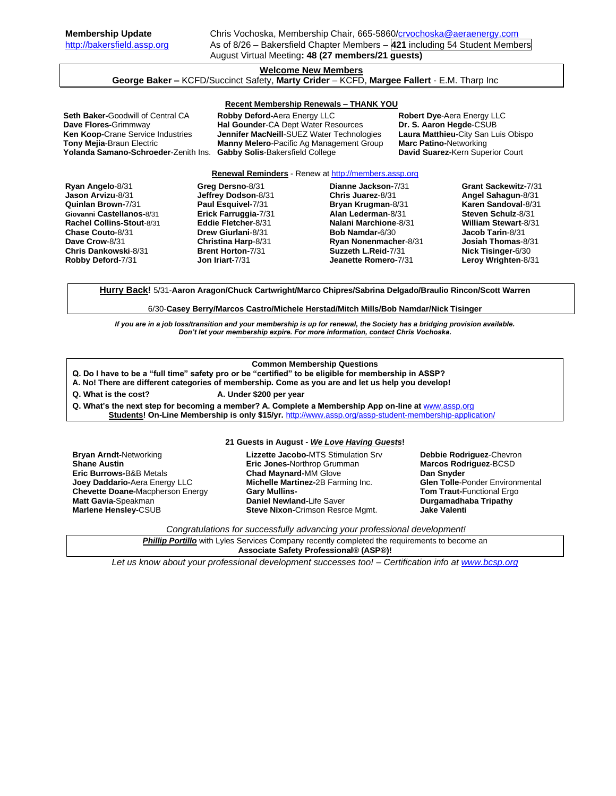# **Welcome New Members**

**George Baker –** KCFD/Succinct Safety, **Marty Crider** – KCFD, **Margee Fallert** - E.M. Tharp Inc

### **Recent Membership Renewals – THANK YOU**

Yolanda Samano-Schroeder-Zenith Ins. **Gabby Solis-Bakersfield College** 

**Seth Baker-Goodwill of Central CA Robby Deford-Aera Energy LLC Robert Dye-Aera Energy LLC**<br> **Dave Flores-Grimmway <b>Reset By Conder-CA** Dept Water Resources **Dr. S. Aaron Hegde-CSUB Hal Gounder-CA Dept Water Resources Ken Koop-**Crane Service Industries **Jennifer MacNeill**-SUEZ Water Technologies **Laura Matthieu-**City San Luis Obispo **Manny Melero-Pacific Ag Management Group Marc Patino-Networking<br>
Gabby Solis-Bakersfield College <b>David Suarez-Kern Superior Court** 

**Renewal Reminders** - Renew a[t http://members.assp.org](http://members.assp.org/)

**Ryan Angelo**-8/31 **Jason Arvizu**-8/31 **Quinlan Brown-**7/31 **Giovanni Castellanos-**8/31 **Rachel Collins-Stout**-8/31 **Chase Couto**-8/31 **Dave Crow**-8/31 **Chris Dankowski**-8/31 **Robby Deford-**7/31 **Greg Dersno**-8/31 **Jeffrey Dodson**-8/31 **Paul Esquivel-**7/31 **Erick Farruggia-**7/31 **Eddie Fletcher**-8/31 **Drew Giurlani**-8/31 **Christina Harp**-8/31 **Brent Horton-**7/31 **Jon Iriart-**7/31 **Dianne Jackson-**7/31 **Chris Juarez**-8/31 **Bryan Krugman**-8/31 **Alan Lederman**-8/31 **Nalani Marchione**-8/31 **Bob Namdar-**6/30 **Ryan Nonenmacher**-8/31 **Suzzeth L.Reid-**7/31 **Jeanette Romero-**7/31 **Grant Sackewitz-**7/31 **Angel Sahagun**-8/31 **Karen Sandoval**-8/31 **Steven Schulz**-8/31 **William Stewart**-8/31 **Jacob Tarin**-8/31 **Josiah Thomas**-8/31 **Nick Tisinger-**6/30 **Leroy Wrighten**-8/31

**Hurry Back!** 5/31-**Aaron Aragon/Chuck Cartwright/Marco Chipres/Sabrina Delgado/Braulio Rincon/Scott Warren**

6/30-**Casey Berry/Marcos Castro/Michele Herstad/Mitch Mills/Bob Namdar/Nick Tisinger**

*If you are in a job loss/transition and your membership is up for renewal, the Society has a bridging provision available. Don't let your membership expire. For more information, contact Chris Vochoska.*  **-------------------------------------------------------------------------------------------------------------------------------------------------------------**

## **Common Membership Questions**

- **Q. Do I have to be a "full time" safety pro or be "certified" to be eligible for membership in ASSP?**
- **A. No! There are different categories of membership. Come as you are and let us help you develop!**
- **Q. What is the cost? A. Under \$200 per year**

**Q. What's the next step for becoming a member? A. Complete a Membership App on-line at** [www.assp.org](http://www.assp.org/)

**Students! On-Line Membership is only \$15/yr.** <http://www.assp.org/assp-student-membership-application/>

#### **21 Guests in August -** *We Love Having Guests***!**

**Bryan Arndt-**Networking **Shane Austin Eric Burrows-**B&B Metals **Joey Daddario-**Aera Energy LLC **Chevette Doane-**Macpherson Energy **Matt Gavia-**Speakman **Marlene Hensley-**CSUB

**Lizzette Jacobo-**MTS Stimulation Srv **Eric Jones-**Northrop Grumman **Chad Maynard-**MM Glove **Michelle Martinez-**2B Farming Inc. **Gary Mullins-Daniel Newland-**Life Saver **Steve Nixon-**Crimson Resrce Mgmt.

**Debbie Rodriguez**-Chevron **Marcos Rodriguez**-BCSD **Dan Snyder Glen Tolle**-Ponder Environmental **Tom Traut-**Functional Ergo **Durgamadhaba Tripathy Jake Valenti**

*Congratulations for successfully advancing your professional development!*

**Phillip Portillo** with Lyles Services Company recently completed the requirements to become an **Associate Safety Professional® (ASP®)!**

*Let us know about your professional development successes too! – Certification info a[t www.bcsp.org](http://www.bcsp.org/)*